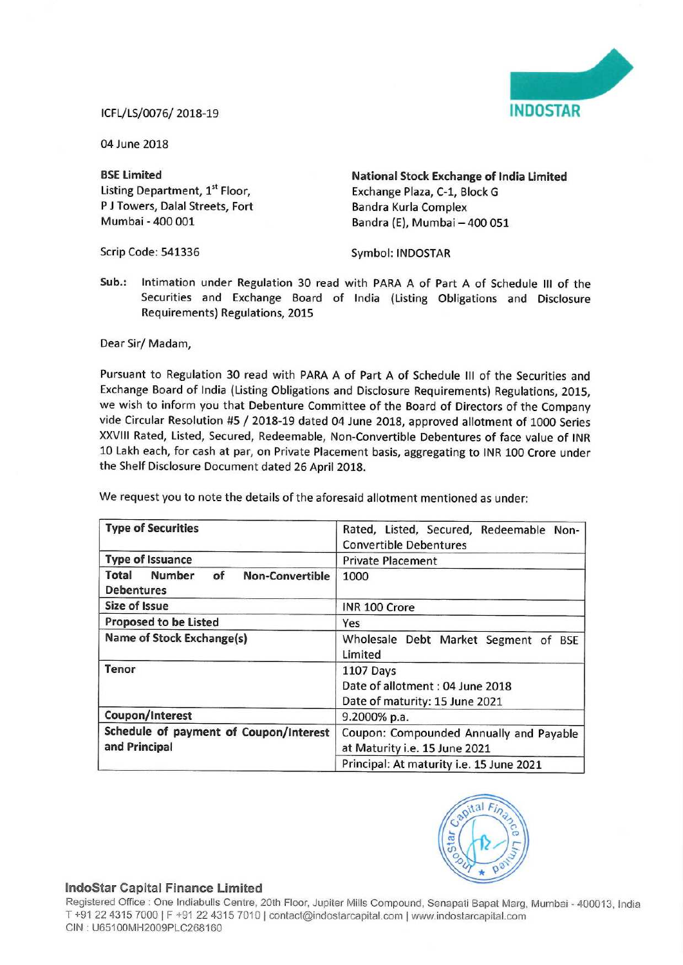

## ICFL/LS/0076/ 2018—19 INDOSTAR

04 June 2018

P J Towers, Dalal Streets, Fort<br>Mumbai - 400 001

Scrip Code: 541336 Symbol: INDOSTAR

BSE Limited<br>
Listing Department, 1<sup>st</sup> Floor,<br>
Exchange Plaza, C-1, Block G<br>
Exchange Plaza, C-1, Block G Exchange Plaza, C-1, Block G<br>Bandra Kurla Complex Bandra (E), Mumbai - 400 051

Sub.: lntimation under Regulation 30 read with PARA A of Part A of Schedule III of the Securities and Exchange Board of India (Listing Obligations and Disclosure Requirements) Regulations, 2015

Dear Sir/ Madam,

Pursuant to Regulation 30 read with PARA <sup>A</sup> of Part <sup>A</sup> of Schedule III of the Securities and Exchange Board of lndia (Listing Obligations and Disclosure Requirements) Regulations, 2015, we wish to inform you that Debenture Committee of the Board of Directors of the Company vide Circular Resolution #5 / 2018-19 dated <sup>04</sup> June 2018, approved allotment of <sup>1000</sup> Series XXVIII Rated, Listed, Secured, Redeemable, Non-Convertible Debentures of face value of INR <sup>10</sup> Lakh each, for cash at par, on Private Placement basis, aggregating to INR <sup>100</sup> Crore under the Shelf Disclosure Document dated 26 April 2018.

| <b>Type of Securities</b>                                                   | Rated, Listed, Secured, Redeemable Non-<br><b>Convertible Debentures</b>        |
|-----------------------------------------------------------------------------|---------------------------------------------------------------------------------|
| <b>Type of Issuance</b>                                                     | <b>Private Placement</b>                                                        |
| <b>Number</b><br>Total<br>of<br><b>Non-Convertible</b><br><b>Debentures</b> | 1000                                                                            |
| <b>Size of Issue</b>                                                        | INR 100 Crore                                                                   |
| <b>Proposed to be Listed</b>                                                | Yes                                                                             |
| <b>Name of Stock Exchange(s)</b>                                            | Wholesale Debt Market Segment of BSE<br>Limited                                 |
| Tenor                                                                       | 1107 Days<br>Date of allotment : 04 June 2018<br>Date of maturity: 15 June 2021 |
| Coupon/Interest                                                             | 9.2000% p.a.                                                                    |
| Schedule of payment of Coupon/Interest<br>and Principal                     | Coupon: Compounded Annually and Payable<br>at Maturity i.e. 15 June 2021        |
|                                                                             | Principal: At maturity i.e. 15 June 2021                                        |

We request you to note the details of the aforesaid allotment mentioned as under:



## IndoStar Capital Finance Limited

Registered Office : One Indiabulls Centre, 20th Floor, Jupiter Mills Compound, Senapati Bapat Marg, Mumbai - 400013, India<br>— T +91 22 4315 7000 | F +91 22 4315 7010 | contact@indostarcapital.com | www.indostarcapital.com CIN : U65100MH2009PLC268160